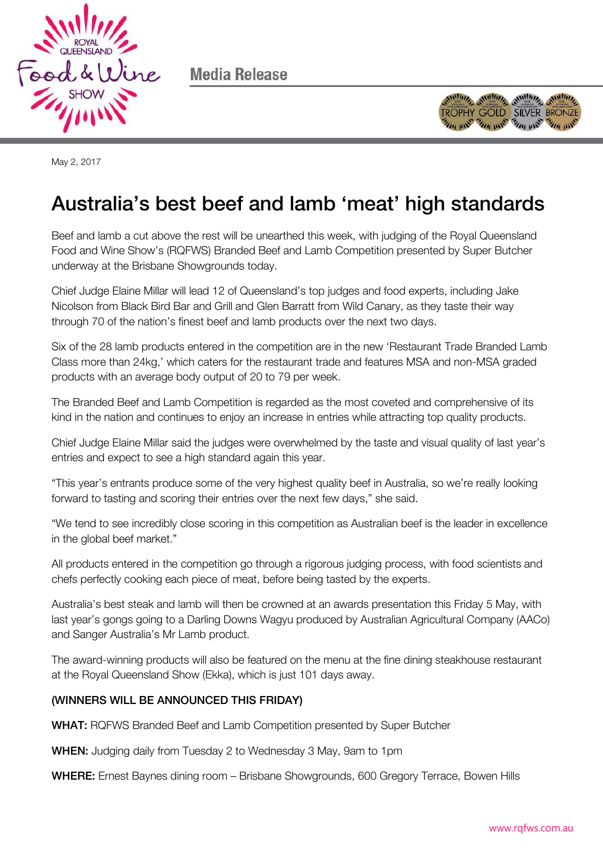

Media Release



May 2, 2017

## Australia's best beef and lamb 'meat' high standards

Beef and lamb a cut above the rest will be unearthed this week, with judging of the Royal Queensland Food and Wine Show's (RQFWS) Branded Beef and Lamb Competition presented by Super Butcher underway at the Brisbane Showgrounds today.

Chief Judge Elaine Millar will lead 12 of Queensland's top judges and food experts, including Jake Nicolson from Black Bird Bar and Grill and Glen Barratt from Wild Canary, as they taste their way through 70 of the nation's finest beef and lamb products over the next two days.

Six of the 28 lamb products entered in the competition are in the new 'Restaurant Trade Branded Lamb Class more than 24kg,' which caters for the restaurant trade and features MSA and non-MSA graded products with an average body output of 20 to 79 per week.

The Branded Beef and Lamb Competition is regarded as the most coveted and comprehensive of its kind in the nation and continues to enjoy an increase in entries while attracting top quality products.

Chief Judge Elaine Millar said the judges were overwhelmed by the taste and visual quality of last year's entries and expect to see a high standard again this year.

"This year's entrants produce some of the very highest quality beef in Australia, so we're really looking forward to tasting and scoring their entries over the next few days," she said.

"We tend to see incredibly close scoring in this competition as Australian beef is the leader in excellence in the global beef market."

All products entered in the competition go through a rigorous judging process, with food scientists and chefs perfectly cooking each piece of meat, before being tasted by the experts.

Australia's best steak and lamb will then be crowned at an awards presentation this Friday 5 May, with last year's gongs going to a Darling Downs Wagyu produced by Australian Agricultural Company (AACo) and Sanger Australia's Mr Lamb product.

The award-winning products will also be featured on the menu at the fine dining steakhouse restaurant at the Royal Queensland Show (Ekka), which is just 101 days away.

## (WINNERS WILL BE ANNOUNCED THIS FRIDAY)

WHAT: RQFWS Branded Beef and Lamb Competition presented by Super Butcher

WHEN: Judging daily from Tuesday 2 to Wednesday 3 May, 9am to 1pm

WHERE: Ernest Baynes dining room – Brisbane Showgrounds, 600 Gregory Terrace, Bowen Hills